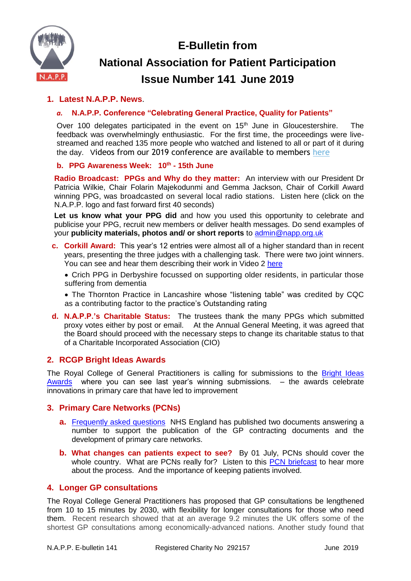**E-Bulletin from**



# **National Association for Patient Participation Issue Number 141 June 2019**

# **1. Latest N.A.P.P. News**.

# *a.* **N.A.P.P. Conference "Celebrating General Practice, Quality for Patients"**

Over 100 delegates participated in the event on  $15<sup>th</sup>$  June in Gloucestershire. The feedback was overwhelmingly enthusiastic. For the first time, the proceedings were livestreamed and reached 135 more people who watched and listened to all or part of it during the day. Videos from our 2019 conference are available to members [here](https://www.napp.org.uk/membersonly/2019conference.html)

#### **b. PPG Awareness Week: 10th - 15th June**

**Radio Broadcast: PPGs and Why do they matter:** An interview with our President Dr Patricia Wilkie, Chair Folarin Majekodunmi and Gemma Jackson, Chair of Corkill Award winning PPG, was broadcasted on several local radio stations. Listen here (click on the N.A.P.P. logo and fast forward first 40 seconds)

**Let us know what your PPG did** and how you used this opportunity to celebrate and publicise your PPG, recruit new members or deliver health messages. Do send examples of your **publicity materials, photos and/ or short reports** to [admin@napp.org.uk](mailto:admin@napp.org.uk)

- **c. Corkill Award:** This year's 12 entries were almost all of a higher standard than in recent years, presenting the three judges with a challenging task. There were two joint winners. You can see and hear them describing their work in Video 2 [here](http://www.napp.org.uk/membersonly/2019conference.html)
	- Crich PPG in Derbyshire focussed on supporting older residents, in particular those suffering from dementia
	- The Thornton Practice in Lancashire whose "listening table" was credited by CQC as a contributing factor to the practice's Outstanding rating
- **d. N.A.P.P.'s Charitable Status:** The trustees thank the many PPGs which submitted proxy votes either by post or email. At the Annual General Meeting, it was agreed that the Board should proceed with the necessary steps to change its charitable status to that of a Charitable Incorporated Association (CIO)

# **2. RCGP Bright Ideas Awards**

The Royal College of General Practitioners is calling for submissions to the Bright Ideas [Awards](https://www.rcgp.org.uk/bright-ideas) where you can see last year's winning submissions. – the awards celebrate innovations in primary care that have led to improvement

# **3. Primary Care Networks (PCNs)**

- **a.** [Frequently asked questions](https://www.networks.nhs.uk/networks/news/primary-care-networks-faq-from-nhs-england) NHS England has published two documents answering a number to support the publication of the GP contracting documents and the development of primary care networks.
- **b. What changes can patients expect to see?** By 01 July, PCNs should cover the whole country. What are PCNs really for? Listen to this [PCN briefcast](https://www.pcc-cic.org.uk/article/pcn-briefcast-we%E2%80%99ve-got-our-bid-so-what-now) to hear more about the process. And the importance of keeping patients involved.

# **4. Longer GP consultations**

The Royal College General Practitioners has proposed that GP consultations be lengthened from 10 to 15 minutes by 2030, with flexibility for longer consultations for those who need them. Recent research showed that at an average 9.2 minutes the UK offers some of the shortest GP consultations among economically-advanced nations. Another study found that